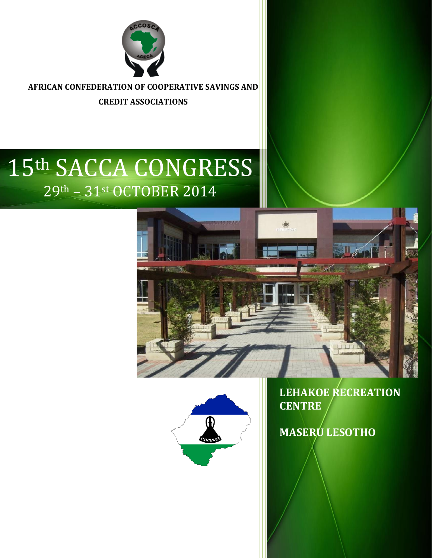

**AFRICAN CONFEDERATION OF COOPERATIVE SAVINGS AND CREDIT ASSOCIATIONS**

# 15th SACCA CONGRESS 29th – 31st OCTOBER 2014





**LEHAKOE RECREATION CENTRE**

**MASERU LESOTHO**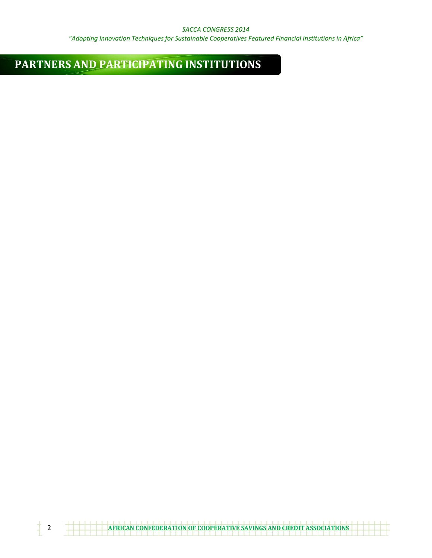*"Adopting Innovation Techniques for Sustainable Cooperatives Featured Financial Institutions in Africa"*

# **PARTNERS AND PARTICIPATING INSTITUTIONS**

2 **AFRICAN CONFEDERATION OF COOPERATIVE SAVINGS AND CREDIT ASSOCIATIONS**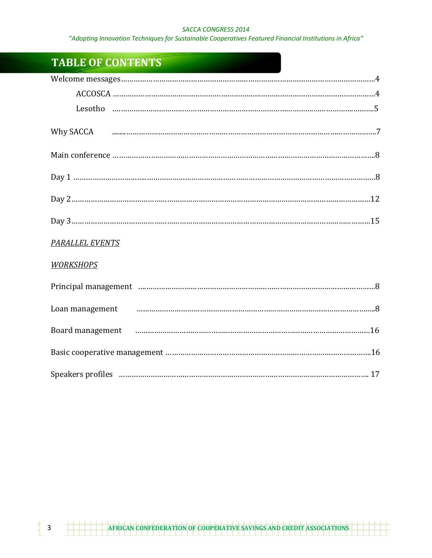*"Adopting Innovation Techniques for Sustainable Cooperatives Featured Financial Institutions in Africa"*

# **TABLE OF CONTENTS**

| Why SACCA <u>www.marror.com/marror.com/marror.com/marror.com/marror.org/marror.</u> 7                                                                                                                                          |
|--------------------------------------------------------------------------------------------------------------------------------------------------------------------------------------------------------------------------------|
|                                                                                                                                                                                                                                |
|                                                                                                                                                                                                                                |
|                                                                                                                                                                                                                                |
|                                                                                                                                                                                                                                |
| <b>PARALLEL EVENTS</b>                                                                                                                                                                                                         |
| <b>WORKSHOPS</b>                                                                                                                                                                                                               |
|                                                                                                                                                                                                                                |
| Loan management manuscription and the manuscription of the manuscription of the manuscription of the manuscription of the manuscription of the manuscription of the manuscription of the manuscription of the manuscription of |
| Board management manufactured and the manufacture manufacture manufacture manufacture and the Board management                                                                                                                 |
|                                                                                                                                                                                                                                |
| Speakers profiles manual content and the content of the speakers profiles manual content and the speakers profiles                                                                                                             |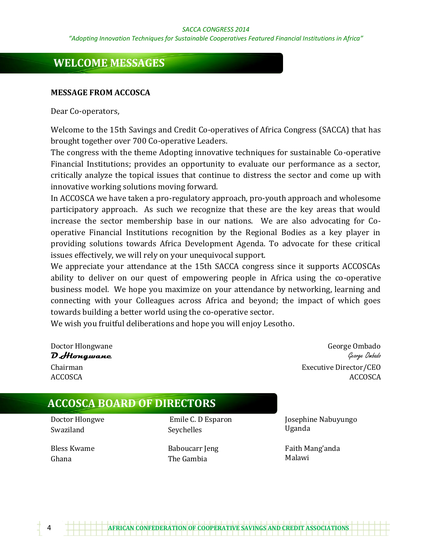*"Adopting Innovation Techniques for Sustainable Cooperatives Featured Financial Institutions in Africa"*

### **WELCOME MESSAGES**

### **MESSAGE FROM ACCOSCA**

Dear Co-operators,

Welcome to the 15th Savings and Credit Co-operatives of Africa Congress (SACCA) that has brought together over 700 Co-operative Leaders.

The congress with the theme Adopting innovative techniques for sustainable Co-operative Financial Institutions; provides an opportunity to evaluate our performance as a sector, critically analyze the topical issues that continue to distress the sector and come up with innovative working solutions moving forward.

In ACCOSCA we have taken a pro-regulatory approach, pro-youth approach and wholesome participatory approach. As such we recognize that these are the key areas that would increase the sector membership base in our nations. We are also advocating for Cooperative Financial Institutions recognition by the Regional Bodies as a key player in providing solutions towards Africa Development Agenda. To advocate for these critical issues effectively, we will rely on your unequivocal support.

We appreciate your attendance at the 15th SACCA congress since it supports ACCOSCAs ability to deliver on our quest of empowering people in Africa using the co-operative business model. We hope you maximize on your attendance by networking, learning and connecting with your Colleagues across Africa and beyond; the impact of which goes towards building a better world using the co-operative sector.

We wish you fruitful deliberations and hope you will enjoy Lesotho.

Doctor Hlongwane George Ombado **D.Hlongwane** George Ombado Chairman Executive Director/CEO ACCOSCA ACCOSCA

### **ACCOSCA BOARD OF DIRECTORS**

Doctor Hlongwe Swaziland

Emile C. D Esparon Seychelles

Bless Kwame Ghana

Baboucarr Jeng The Gambia

Josephine Nabuyungo Uganda

Faith Mang'anda Malawi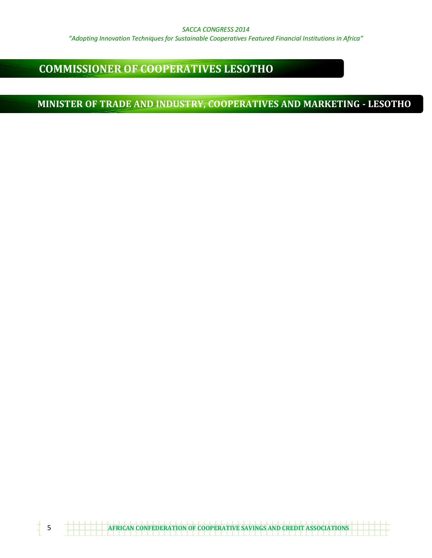## **COMMISSIONER OF COOPERATIVES LESOTHO**

l **MINISTER OF TRADE AND INDUSTRY, COOPERATIVES AND MARKETING - LESOTHO**

 $\sharp$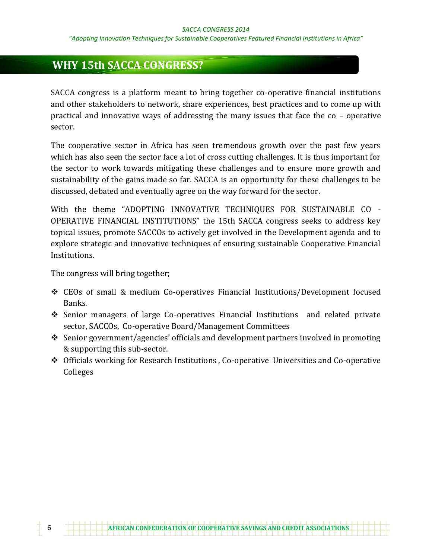*"Adopting Innovation Techniques for Sustainable Cooperatives Featured Financial Institutions in Africa"*

### **WHY 15th SACCA CONGRESS?**

SACCA congress is a platform meant to bring together co-operative financial institutions and other stakeholders to network, share experiences, best practices and to come up with practical and innovative ways of addressing the many issues that face the co – operative sector.

The cooperative sector in Africa has seen tremendous growth over the past few years which has also seen the sector face a lot of cross cutting challenges. It is thus important for the sector to work towards mitigating these challenges and to ensure more growth and sustainability of the gains made so far. SACCA is an opportunity for these challenges to be discussed, debated and eventually agree on the way forward for the sector.

With the theme "ADOPTING INNOVATIVE TECHNIQUES FOR SUSTAINABLE CO - OPERATIVE FINANCIAL INSTITUTIONS" the 15th SACCA congress seeks to address key topical issues, promote SACCOs to actively get involved in the Development agenda and to explore strategic and innovative techniques of ensuring sustainable Cooperative Financial Institutions.

The congress will bring together;

- CEOs of small & medium Co-operatives Financial Institutions/Development focused Banks.
- Senior managers of large Co-operatives Financial Institutions and related private sector, SACCOs, Co-operative Board/Management Committees
- $\triangle$  Senior government/agencies' officials and development partners involved in promoting & supporting this sub-sector.
- Officials working for Research Institutions , Co-operative Universities and Co-operative Colleges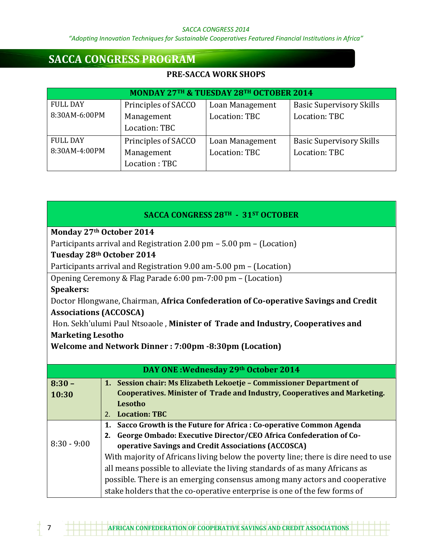*"Adopting Innovation Techniques for Sustainable Cooperatives Featured Financial Institutions in Africa"*

# **SACCA CONGRESS PROGRAM**

### **PRE-SACCA WORK SHOPS**

| MONDAY 27TH & TUESDAY 28TH OCTOBER 2014 |                     |                 |                                 |
|-----------------------------------------|---------------------|-----------------|---------------------------------|
| <b>FULL DAY</b>                         | Principles of SACCO | Loan Management | <b>Basic Supervisory Skills</b> |
| 8:30AM-6:00PM                           | Management          | Location: TBC   | Location: TBC                   |
|                                         | Location: TBC       |                 |                                 |
| <b>FULL DAY</b>                         | Principles of SACCO | Loan Management | <b>Basic Supervisory Skills</b> |
| 8:30AM-4:00PM                           | Management          | Location: TBC   | Location: TBC                   |
|                                         | Location: TBC       |                 |                                 |

|                                      | <b>SACCA CONGRESS 28TH - 31ST OCTOBER</b>                                           |  |  |
|--------------------------------------|-------------------------------------------------------------------------------------|--|--|
|                                      | Monday 27th October 2014                                                            |  |  |
|                                      | Participants arrival and Registration 2.00 pm $-$ 5.00 pm $-$ (Location)            |  |  |
|                                      | Tuesday 28th October 2014                                                           |  |  |
|                                      | Participants arrival and Registration 9.00 am-5.00 pm – (Location)                  |  |  |
|                                      | Opening Ceremony & Flag Parade 6:00 pm-7:00 pm – (Location)                         |  |  |
| <b>Speakers:</b>                     |                                                                                     |  |  |
|                                      | Doctor Hlongwane, Chairman, Africa Confederation of Co-operative Savings and Credit |  |  |
| <b>Associations (ACCOSCA)</b>        |                                                                                     |  |  |
|                                      | Hon. Sekh'ulumi Paul Ntsoaole, Minister of Trade and Industry, Cooperatives and     |  |  |
| <b>Marketing Lesotho</b>             |                                                                                     |  |  |
|                                      | <b>Welcome and Network Dinner: 7:00pm -8:30pm (Location)</b>                        |  |  |
|                                      |                                                                                     |  |  |
| DAY ONE: Wednesday 29th October 2014 |                                                                                     |  |  |
| $8:30 -$                             | 1. Session chair: Ms Elizabeth Lekoetje - Commissioner Department of                |  |  |
| 10:30                                | Cooperatives. Minister of Trade and Industry, Cooperatives and Marketing.           |  |  |
|                                      | <b>Lesotho</b>                                                                      |  |  |
|                                      | 2. Location: TBC                                                                    |  |  |
|                                      | Sacco Growth is the Future for Africa : Co-operative Common Agenda<br>1.            |  |  |
| $8:30 - 9:00$                        | George Ombado: Executive Director/CEO Africa Confederation of Co-<br>2.             |  |  |
|                                      | operative Savings and Credit Associations (ACCOSCA)                                 |  |  |
|                                      | With majority of Africans living below the poverty line; there is dire need to use  |  |  |
|                                      | all means possible to alleviate the living standards of as many Africans as         |  |  |
|                                      | possible. There is an emerging consensus among many actors and cooperative          |  |  |
|                                      | stake holders that the co-operative enterprise is one of the few forms of           |  |  |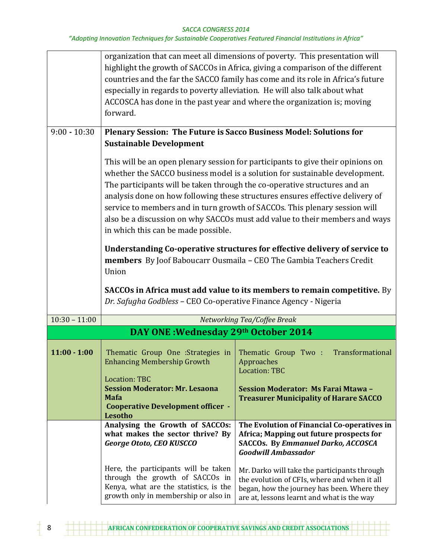|                 |                                                                                 | organization that can meet all dimensions of poverty. This presentation will          |  |
|-----------------|---------------------------------------------------------------------------------|---------------------------------------------------------------------------------------|--|
|                 |                                                                                 | highlight the growth of SACCOs in Africa, giving a comparison of the different        |  |
|                 | countries and the far the SACCO family has come and its role in Africa's future |                                                                                       |  |
|                 | especially in regards to poverty alleviation. He will also talk about what      |                                                                                       |  |
|                 | ACCOSCA has done in the past year and where the organization is; moving         |                                                                                       |  |
|                 | forward.                                                                        |                                                                                       |  |
|                 |                                                                                 |                                                                                       |  |
| $9:00 - 10:30$  | <b>Plenary Session: The Future is Sacco Business Model: Solutions for</b>       |                                                                                       |  |
|                 | <b>Sustainable Development</b>                                                  |                                                                                       |  |
|                 |                                                                                 |                                                                                       |  |
|                 |                                                                                 | This will be an open plenary session for participants to give their opinions on       |  |
|                 |                                                                                 | whether the SACCO business model is a solution for sustainable development.           |  |
|                 |                                                                                 | The participants will be taken through the co-operative structures and an             |  |
|                 |                                                                                 | analysis done on how following these structures ensures effective delivery of         |  |
|                 |                                                                                 | service to members and in turn growth of SACCOs. This plenary session will            |  |
|                 |                                                                                 | also be a discussion on why SACCOs must add value to their members and ways           |  |
|                 | in which this can be made possible.                                             |                                                                                       |  |
|                 |                                                                                 |                                                                                       |  |
|                 |                                                                                 | Understanding Co-operative structures for effective delivery of service to            |  |
|                 |                                                                                 | members By Joof Baboucarr Ousmaila - CEO The Gambia Teachers Credit                   |  |
|                 | Union                                                                           |                                                                                       |  |
|                 |                                                                                 |                                                                                       |  |
|                 | <b>SACCOs in Africa must add value to its members to remain competitive.</b> By |                                                                                       |  |
|                 | Dr. Safugha Godbless - CEO Co-operative Finance Agency - Nigeria                |                                                                                       |  |
| $10:30 - 11:00$ |                                                                                 | Networking Tea/Coffee Break                                                           |  |
|                 | DAY ONE: Wednesday 29th October 2014                                            |                                                                                       |  |
|                 |                                                                                 |                                                                                       |  |
| $11:00 - 1:00$  | Thematic Group One :Strategies in                                               | Transformational<br>Thematic Group Two:                                               |  |
|                 | <b>Enhancing Membership Growth</b>                                              | Approaches                                                                            |  |
|                 | <b>Location: TBC</b>                                                            | <b>Location: TBC</b>                                                                  |  |
|                 | <b>Session Moderator: Mr. Lesaona</b>                                           | <b>Session Moderator: Ms Farai Mtawa -</b>                                            |  |
|                 | <b>Mafa</b>                                                                     | <b>Treasurer Municipality of Harare SACCO</b>                                         |  |
|                 | <b>Cooperative Development officer -</b>                                        |                                                                                       |  |
|                 | Lesotho                                                                         |                                                                                       |  |
|                 | Analysing the Growth of SACCOs:                                                 | The Evolution of Financial Co-operatives in                                           |  |
|                 | what makes the sector thrive? By<br>George Ototo, CEO KUSCCO                    | Africa; Mapping out future prospects for<br><b>SACCOs. By Emmanuel Darko, ACCOSCA</b> |  |
|                 |                                                                                 | <b>Goodwill Ambassador</b>                                                            |  |
|                 |                                                                                 |                                                                                       |  |
|                 | Here, the participants will be taken                                            | Mr. Darko will take the participants through                                          |  |
|                 | through the growth of SACCOs in<br>Kenya, what are the statistics, is the       | the evolution of CFIs, where and when it all                                          |  |
|                 | growth only in membership or also in                                            | began, how the journey has been. Where they                                           |  |
|                 |                                                                                 | are at, lessons learnt and what is the way                                            |  |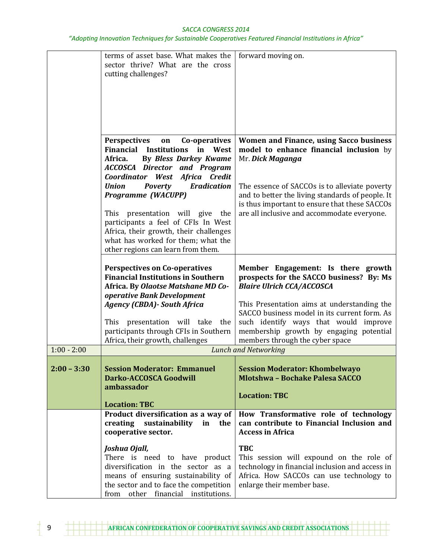*"Adopting Innovation Techniques for Sustainable Cooperatives Featured Financial Institutions in Africa"*

|               | creating<br>sustainability<br>in<br>the<br>cooperative sector.<br>Joshua Ojall,<br>There is need to have product<br>diversification in the sector as a<br>means of ensuring sustainability of<br>the sector and to face the competition<br>from other financial institutions.        | can contribute to Financial Inclusion and<br><b>Access in Africa</b><br><b>TBC</b><br>This session will expound on the role of<br>technology in financial inclusion and access in<br>Africa. How SACCOs can use technology to<br>enlarge their member base.                                           |
|---------------|--------------------------------------------------------------------------------------------------------------------------------------------------------------------------------------------------------------------------------------------------------------------------------------|-------------------------------------------------------------------------------------------------------------------------------------------------------------------------------------------------------------------------------------------------------------------------------------------------------|
|               | <b>Location: TBC</b><br>Product diversification as a way of                                                                                                                                                                                                                          | How Transformative role of technology                                                                                                                                                                                                                                                                 |
|               | ambassador                                                                                                                                                                                                                                                                           | <b>Location: TBC</b>                                                                                                                                                                                                                                                                                  |
| $2:00 - 3:30$ | <b>Session Moderator: Emmanuel</b><br><b>Darko-ACCOSCA Goodwill</b>                                                                                                                                                                                                                  | <b>Session Moderator: Khombelwayo</b><br><b>Mlotshwa - Bochake Palesa SACCO</b>                                                                                                                                                                                                                       |
| $1:00 - 2:00$ | Africa, their growth, challenges                                                                                                                                                                                                                                                     | members through the cyber space<br><b>Lunch and Networking</b>                                                                                                                                                                                                                                        |
|               | <b>Perspectives on Co-operatives</b><br><b>Financial Institutions in Southern</b><br>Africa. By Olaotse Matshane MD Co-<br>operative Bank Development<br><b>Agency (CBDA) - South Africa</b><br>This presentation will take the<br>participants through CFIs in Southern             | Member Engagement: Is there growth<br>prospects for the SACCO business? By: Ms<br><b>Blaire Ulrich CCA/ACCOSCA</b><br>This Presentation aims at understanding the<br>SACCO business model in its current form. As<br>such identify ways that would improve<br>membership growth by engaging potential |
|               | <b>Eradication</b><br><b>Union</b><br><b>Poverty</b><br><b>Programme (WACUPP)</b><br>presentation will give the<br>This<br>participants a feel of CFIs In West<br>Africa, their growth, their challenges<br>what has worked for them; what the<br>other regions can learn from them. | The essence of SACCOs is to alleviate poverty<br>and to better the living standards of people. It<br>is thus important to ensure that these SACCOs<br>are all inclusive and accommodate everyone.                                                                                                     |
|               | <b>Perspectives</b><br>Co-operatives<br>on<br><b>Financial Institutions</b><br>in West<br><b>By Bless Darkey Kwame</b><br>Africa.<br><b>ACCOSCA Director and Program</b><br>Coordinator West<br>Africa Credit                                                                        | Women and Finance, using Sacco business<br>model to enhance financial inclusion by<br>Mr. Dick Maganga                                                                                                                                                                                                |
|               | sector thrive? What are the cross<br>cutting challenges?                                                                                                                                                                                                                             |                                                                                                                                                                                                                                                                                                       |
|               | terms of asset base. What makes the                                                                                                                                                                                                                                                  | forward moving on.                                                                                                                                                                                                                                                                                    |

 $\frac{1}{1}$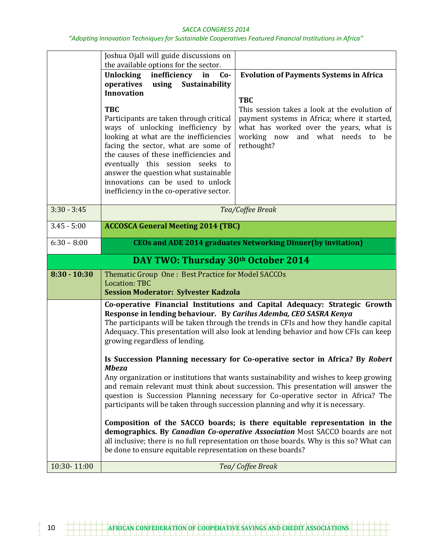*"Adopting Innovation Techniques for Sustainable Cooperatives Featured Financial Institutions in Africa"*

|                | Joshua Ojall will guide discussions on<br>the available options for the sector.                                                                                                                                                                                                                                                                                                    |                                                                                                                                                                                            |  |
|----------------|------------------------------------------------------------------------------------------------------------------------------------------------------------------------------------------------------------------------------------------------------------------------------------------------------------------------------------------------------------------------------------|--------------------------------------------------------------------------------------------------------------------------------------------------------------------------------------------|--|
|                | inefficiency<br><b>Unlocking</b><br>$Co-$<br>in                                                                                                                                                                                                                                                                                                                                    | <b>Evolution of Payments Systems in Africa</b>                                                                                                                                             |  |
|                | operatives<br>using<br>Sustainability                                                                                                                                                                                                                                                                                                                                              |                                                                                                                                                                                            |  |
|                | <b>Innovation</b>                                                                                                                                                                                                                                                                                                                                                                  | <b>TBC</b>                                                                                                                                                                                 |  |
|                | <b>TBC</b><br>Participants are taken through critical<br>ways of unlocking inefficiency by<br>looking at what are the inefficiencies<br>facing the sector, what are some of<br>the causes of these inefficiencies and<br>eventually this session seeks to<br>answer the question what sustainable<br>innovations can be used to unlock<br>inefficiency in the co-operative sector. | This session takes a look at the evolution of<br>payment systems in Africa; where it started,<br>what has worked over the years, what is<br>working now and what needs to be<br>rethought? |  |
| $3:30 - 3:45$  | Tea/Coffee Break                                                                                                                                                                                                                                                                                                                                                                   |                                                                                                                                                                                            |  |
| $3.45 - 5:00$  | <b>ACCOSCA General Meeting 2014 (TBC)</b>                                                                                                                                                                                                                                                                                                                                          |                                                                                                                                                                                            |  |
| $6:30 - 8:00$  | <b>CEOs and ADE 2014 graduates Networking Dinner(by invitation)</b>                                                                                                                                                                                                                                                                                                                |                                                                                                                                                                                            |  |
|                | DAY TWO: Thursday 30th October 2014                                                                                                                                                                                                                                                                                                                                                |                                                                                                                                                                                            |  |
| $8:30 - 10:30$ | Thematic Group One: Best Practice for Model SACCOs<br><b>Location: TBC</b><br><b>Session Moderator: Sylvester Kadzola</b>                                                                                                                                                                                                                                                          |                                                                                                                                                                                            |  |
|                | Co-operative Financial Institutions and Capital Adequacy: Strategic Growth<br>Response in lending behaviour. By Carilus Ademba, CEO SASRA Kenya<br>The participants will be taken through the trends in CFIs and how they handle capital<br>Adequacy. This presentation will also look at lending behavior and how CFIs can keep<br>growing regardless of lending.                 |                                                                                                                                                                                            |  |
|                | Is Succession Planning necessary for Co-operative sector in Africa? By Robert<br><b>Mbeza</b>                                                                                                                                                                                                                                                                                      |                                                                                                                                                                                            |  |
|                | Any organization or institutions that wants sustainability and wishes to keep growing<br>and remain relevant must think about succession. This presentation will answer the<br>question is Succession Planning necessary for Co-operative sector in Africa? The<br>participants will be taken through succession planning and why it is necessary.                                 |                                                                                                                                                                                            |  |
|                | Composition of the SACCO boards; is there equitable representation in the<br>demographics. By Canadian Co-operative Association Most SACCO boards are not<br>all inclusive; there is no full representation on those boards. Why is this so? What can<br>be done to ensure equitable representation on these boards?                                                               |                                                                                                                                                                                            |  |
| 10:30-11:00    |                                                                                                                                                                                                                                                                                                                                                                                    | Tea/ Coffee Break                                                                                                                                                                          |  |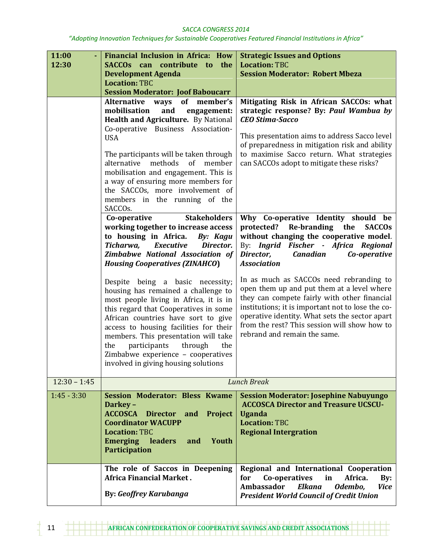*SACCA CONGRESS 2014 "Adopting Innovation Techniques for Sustainable Cooperatives Featured Financial Institutions in Africa"*

| 11:00<br>ä,<br>12:30 | Financial Inclusion in Africa: How<br>SACCOs can contribute to the<br><b>Development Agenda</b><br><b>Location: TBC</b><br><b>Session Moderator: Joof Baboucarr</b><br>Alternative ways of member's                                                                                                                                                                                                        | <b>Strategic Issues and Options</b><br><b>Location: TBC</b><br><b>Session Moderator: Robert Mbeza</b><br>Mitigating Risk in African SACCOs: what                                                                                                                                                                             |
|----------------------|------------------------------------------------------------------------------------------------------------------------------------------------------------------------------------------------------------------------------------------------------------------------------------------------------------------------------------------------------------------------------------------------------------|------------------------------------------------------------------------------------------------------------------------------------------------------------------------------------------------------------------------------------------------------------------------------------------------------------------------------|
|                      | mobilisation<br>and<br>engagement:<br>Health and Agriculture. By National<br>Co-operative Business Association-<br><b>USA</b><br>The participants will be taken through<br>alternative methods of<br>member<br>mobilisation and engagement. This is<br>a way of ensuring more members for<br>the SACCOs, more involvement of<br>members in the running of the<br>SACCOs.                                   | strategic response? By: Paul Wambua by<br><b>CEO Stima-Sacco</b><br>This presentation aims to address Sacco level<br>of preparedness in mitigation risk and ability<br>to maximise Sacco return. What strategies<br>can SACCOs adopt to mitigate these risks?                                                                |
|                      | <b>Stakeholders</b><br>Co-operative<br>working together to increase access<br>to housing in Africa.<br><b>By:</b> Kagu<br>Ticharwa,<br><b>Executive</b><br>Director.<br>Zimbabwe National Association of<br><b>Housing Cooperatives (ZINAHCO)</b>                                                                                                                                                          | Why Co-operative Identity should be<br>protected?<br>Re-branding the<br><b>SACCOS</b><br>without changing the cooperative model.<br>By: Ingrid Fischer - Africa Regional<br><b>Canadian</b><br>Director,<br>Co-operative<br><b>Association</b>                                                                               |
|                      | Despite being a basic necessity;<br>housing has remained a challenge to<br>most people living in Africa, it is in<br>this regard that Cooperatives in some<br>African countries have sort to give<br>access to housing facilities for their<br>members. This presentation will take<br>participants<br>through<br>the<br>the<br>Zimbabwe experience - cooperatives<br>involved in giving housing solutions | In as much as SACCOs need rebranding to<br>open them up and put them at a level where<br>they can compete fairly with other financial<br>institutions; it is important not to lose the co-<br>operative identity. What sets the sector apart<br>from the rest? This session will show how to<br>rebrand and remain the same. |
| $12:30 - 1:45$       | <b>Lunch Break</b>                                                                                                                                                                                                                                                                                                                                                                                         |                                                                                                                                                                                                                                                                                                                              |
| $1:45 - 3:30$        | <b>Session Moderator: Bless Kwame</b><br>Darkey-<br><b>ACCOSCA Director and Project</b><br><b>Coordinator WACUPP</b><br><b>Location: TBC</b><br><b>Emerging</b><br>leaders<br>Youth<br>and<br><b>Participation</b>                                                                                                                                                                                         | <b>Session Moderator: Josephine Nabuyungo</b><br><b>ACCOSCA Director and Treasure UCSCU-</b><br><b>Uganda</b><br><b>Location: TBC</b><br><b>Regional Intergration</b>                                                                                                                                                        |
|                      | The role of Saccos in Deepening<br><b>Africa Financial Market.</b><br><b>By: Geoffrey Karubanga</b>                                                                                                                                                                                                                                                                                                        | Regional and International Cooperation<br>for<br>Co-operatives<br>Africa.<br>in<br>By:<br>Ambassador<br><b>Elkana</b><br>Odembo,<br><b>Vice</b><br><b>President World Council of Credit Union</b>                                                                                                                            |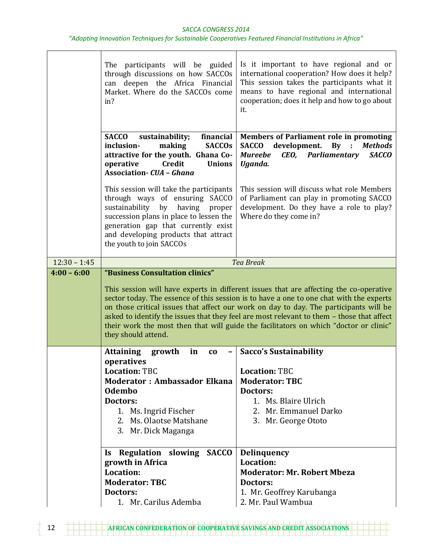|                | participants will be guided<br>The<br>through discussions on how SACCOs<br>can deepen the Africa Financial<br>Market. Where do the SACCOs come<br>in?                                                                                                                                                                                                                                                                                                                                   | Is it important to have regional and or<br>international cooperation? How does it help?<br>This session takes the participants what it<br>means to have regional and international<br>cooperation; does it help and how to go about<br>it. |  |
|----------------|-----------------------------------------------------------------------------------------------------------------------------------------------------------------------------------------------------------------------------------------------------------------------------------------------------------------------------------------------------------------------------------------------------------------------------------------------------------------------------------------|--------------------------------------------------------------------------------------------------------------------------------------------------------------------------------------------------------------------------------------------|--|
|                | financial<br><b>SACCO</b><br>sustainability;<br><b>SACCOs</b><br>inclusion-<br>making<br>attractive for the youth. Ghana Co-<br><b>Credit</b><br>operative<br><b>Unions</b><br><b>Association-CUA - Ghana</b>                                                                                                                                                                                                                                                                           | <b>Members of Parliament role in promoting</b><br>development.<br><b>SACCO</b><br>By:<br><b>Methods</b><br><b>Mureebe</b><br>CEO,<br><b>Parliamentary</b><br><b>SACCO</b><br>Uganda.                                                       |  |
|                | This session will take the participants<br>through ways of ensuring SACCO<br>sustainability<br>having<br>by<br>proper<br>succession plans in place to lessen the<br>generation gap that currently exist<br>and developing products that attract<br>the youth to join SACCOs                                                                                                                                                                                                             | This session will discuss what role Members<br>of Parliament can play in promoting SACCO<br>development. Do they have a role to play?<br>Where do they come in?                                                                            |  |
| $12:30 - 1:45$ | <b>Tea Break</b>                                                                                                                                                                                                                                                                                                                                                                                                                                                                        |                                                                                                                                                                                                                                            |  |
| $4:00 - 6:00$  | "Business Consultation clinics"                                                                                                                                                                                                                                                                                                                                                                                                                                                         |                                                                                                                                                                                                                                            |  |
|                | This session will have experts in different issues that are affecting the co-operative<br>sector today. The essence of this session is to have a one to one chat with the experts<br>on those critical issues that affect our work on day to day. The participants will be<br>asked to identify the issues that they feel are most relevant to them - those that affect<br>their work the most then that will guide the facilitators on which "doctor or clinic"<br>they should attend. |                                                                                                                                                                                                                                            |  |
|                |                                                                                                                                                                                                                                                                                                                                                                                                                                                                                         |                                                                                                                                                                                                                                            |  |
|                | in<br><b>Attaining</b><br>growth<br>co<br>$\overline{\phantom{0}}$                                                                                                                                                                                                                                                                                                                                                                                                                      | <b>Sacco's Sustainability</b>                                                                                                                                                                                                              |  |
|                | operatives                                                                                                                                                                                                                                                                                                                                                                                                                                                                              |                                                                                                                                                                                                                                            |  |
|                | <b>Location: TBC</b><br><b>Moderator: Ambassador Elkana</b>                                                                                                                                                                                                                                                                                                                                                                                                                             | <b>Location: TBC</b><br><b>Moderator: TBC</b>                                                                                                                                                                                              |  |
|                | <b>Odembo</b>                                                                                                                                                                                                                                                                                                                                                                                                                                                                           | Doctors:                                                                                                                                                                                                                                   |  |
|                | Doctors:                                                                                                                                                                                                                                                                                                                                                                                                                                                                                | 1. Ms. Blaire Ulrich                                                                                                                                                                                                                       |  |
|                | 1. Ms. Ingrid Fischer                                                                                                                                                                                                                                                                                                                                                                                                                                                                   | 2. Mr. Emmanuel Darko                                                                                                                                                                                                                      |  |
|                | 2. Ms. Olaotse Matshane<br>3. Mr. Dick Maganga                                                                                                                                                                                                                                                                                                                                                                                                                                          | 3. Mr. George Ototo                                                                                                                                                                                                                        |  |
|                | Regulation slowing SACCO<br>Is.                                                                                                                                                                                                                                                                                                                                                                                                                                                         | Delinquency                                                                                                                                                                                                                                |  |
|                | growth in Africa                                                                                                                                                                                                                                                                                                                                                                                                                                                                        | Location:                                                                                                                                                                                                                                  |  |
|                | Location:                                                                                                                                                                                                                                                                                                                                                                                                                                                                               | <b>Moderator: Mr. Robert Mbeza</b>                                                                                                                                                                                                         |  |
|                | <b>Moderator: TBC</b><br>Doctors:                                                                                                                                                                                                                                                                                                                                                                                                                                                       | Doctors:<br>1. Mr. Geoffrey Karubanga                                                                                                                                                                                                      |  |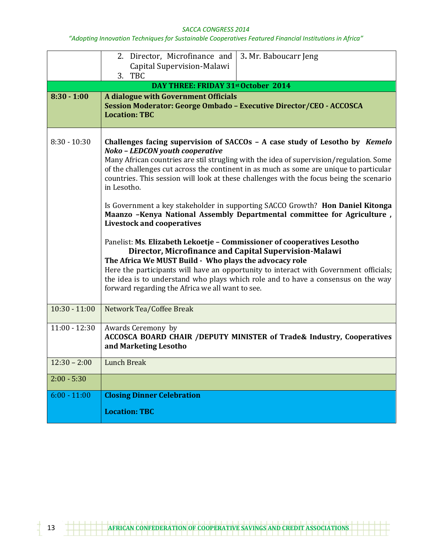*"Adopting Innovation Techniques for Sustainable Cooperatives Featured Financial Institutions in Africa"*

|                                     | 2. Director, Microfinance and $\vert$ 3. Mr. Baboucarr Jeng                                                                                                                                                                                                                                                                                                                                                                                                                                                                                                                                                                                                                                                                                                                                                                                                                                                                                                                                                                                              |  |
|-------------------------------------|----------------------------------------------------------------------------------------------------------------------------------------------------------------------------------------------------------------------------------------------------------------------------------------------------------------------------------------------------------------------------------------------------------------------------------------------------------------------------------------------------------------------------------------------------------------------------------------------------------------------------------------------------------------------------------------------------------------------------------------------------------------------------------------------------------------------------------------------------------------------------------------------------------------------------------------------------------------------------------------------------------------------------------------------------------|--|
|                                     | Capital Supervision-Malawi<br>3. TBC                                                                                                                                                                                                                                                                                                                                                                                                                                                                                                                                                                                                                                                                                                                                                                                                                                                                                                                                                                                                                     |  |
| DAY THREE: FRIDAY 31st October 2014 |                                                                                                                                                                                                                                                                                                                                                                                                                                                                                                                                                                                                                                                                                                                                                                                                                                                                                                                                                                                                                                                          |  |
| $8:30 - 1:00$                       | A dialogue with Government Officials<br>Session Moderator: George Ombado - Executive Director/CEO - ACCOSCA<br><b>Location: TBC</b>                                                                                                                                                                                                                                                                                                                                                                                                                                                                                                                                                                                                                                                                                                                                                                                                                                                                                                                      |  |
| $8:30 - 10:30$                      | Challenges facing supervision of SACCOs $-$ A case study of Lesotho by <i>Kemelo</i><br>Noko - LEDCON youth cooperative<br>Many African countries are stil strugling with the idea of supervision/regulation. Some<br>of the challenges cut across the continent in as much as some are unique to particular<br>countries. This session will look at these challenges with the focus being the scenario<br>in Lesotho.<br>Is Government a key stakeholder in supporting SACCO Growth? Hon Daniel Kitonga<br>Maanzo -Kenya National Assembly Departmental committee for Agriculture,<br><b>Livestock and cooperatives</b><br>Panelist: Ms. Elizabeth Lekoetje - Commissioner of cooperatives Lesotho<br>Director, Microfinance and Capital Supervision-Malawi<br>The Africa We MUST Build - Who plays the advocacy role<br>Here the participants will have an opportunity to interact with Government officials;<br>the idea is to understand who plays which role and to have a consensus on the way<br>forward regarding the Africa we all want to see. |  |
| $10:30 - 11:00$                     | Network Tea/Coffee Break                                                                                                                                                                                                                                                                                                                                                                                                                                                                                                                                                                                                                                                                                                                                                                                                                                                                                                                                                                                                                                 |  |
|                                     |                                                                                                                                                                                                                                                                                                                                                                                                                                                                                                                                                                                                                                                                                                                                                                                                                                                                                                                                                                                                                                                          |  |
| $11:00 - 12:30$                     | Awards Ceremony by<br><b>ACCOSCA BOARD CHAIR /DEPUTY MINISTER of Trade&amp; Industry, Cooperatives</b><br>and Marketing Lesotho                                                                                                                                                                                                                                                                                                                                                                                                                                                                                                                                                                                                                                                                                                                                                                                                                                                                                                                          |  |
| $12:30 - 2:00$                      | <b>Lunch Break</b>                                                                                                                                                                                                                                                                                                                                                                                                                                                                                                                                                                                                                                                                                                                                                                                                                                                                                                                                                                                                                                       |  |
| $2:00 - 5:30$                       |                                                                                                                                                                                                                                                                                                                                                                                                                                                                                                                                                                                                                                                                                                                                                                                                                                                                                                                                                                                                                                                          |  |
| $6:00 - 11:00$                      | <b>Closing Dinner Celebration</b>                                                                                                                                                                                                                                                                                                                                                                                                                                                                                                                                                                                                                                                                                                                                                                                                                                                                                                                                                                                                                        |  |
|                                     | <b>Location: TBC</b>                                                                                                                                                                                                                                                                                                                                                                                                                                                                                                                                                                                                                                                                                                                                                                                                                                                                                                                                                                                                                                     |  |